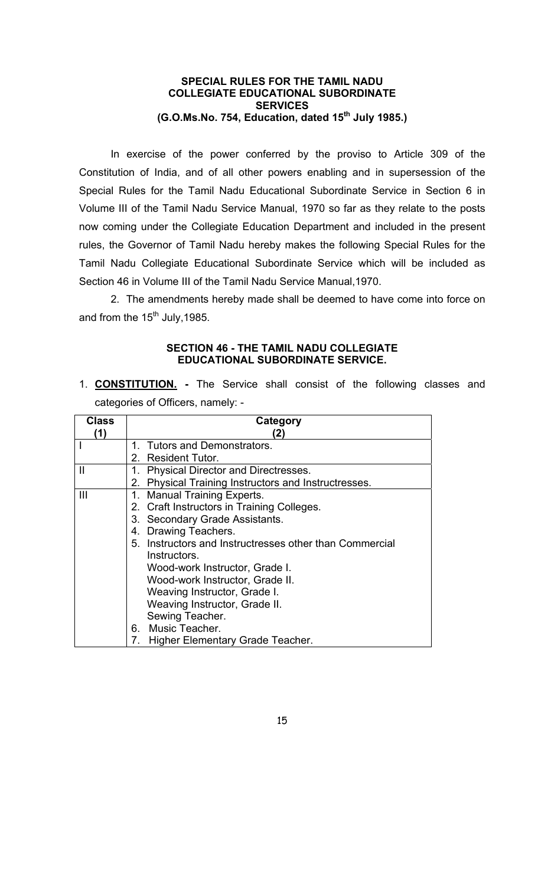#### **SPECIAL RULES FOR THE TAMIL NADU COLLEGIATE EDUCATIONAL SUBORDINATE SERVICES (G.O.Ms.No. 754, Education, dated 15th July 1985.)**

 In exercise of the power conferred by the proviso to Article 309 of the Constitution of India, and of all other powers enabling and in supersession of the Special Rules for the Tamil Nadu Educational Subordinate Service in Section 6 in Volume III of the Tamil Nadu Service Manual, 1970 so far as they relate to the posts now coming under the Collegiate Education Department and included in the present rules, the Governor of Tamil Nadu hereby makes the following Special Rules for the Tamil Nadu Collegiate Educational Subordinate Service which will be included as Section 46 in Volume III of the Tamil Nadu Service Manual,1970.

 2. The amendments hereby made shall be deemed to have come into force on and from the  $15<sup>th</sup>$  July, 1985.

#### **SECTION 46 - THE TAMIL NADU COLLEGIATE EDUCATIONAL SUBORDINATE SERVICE.**

1. **CONSTITUTION. -** The Service shall consist of the following classes and categories of Officers, namely: -

| <b>Class</b>   | Category                                                       |
|----------------|----------------------------------------------------------------|
| (1)            | (2)                                                            |
|                | <b>Tutors and Demonstrators.</b><br>1                          |
|                | 2. Resident Tutor.                                             |
| Ш              | <b>Physical Director and Directresses.</b><br>1.               |
|                | <b>Physical Training Instructors and Instructresses.</b><br>2. |
| $\mathbf{III}$ | 1. Manual Training Experts.                                    |
|                | 2. Craft Instructors in Training Colleges.                     |
|                | 3. Secondary Grade Assistants.                                 |
|                | Drawing Teachers.<br>4.                                        |
|                | 5. Instructors and Instructresses other than Commercial        |
|                | Instructors.                                                   |
|                | Wood-work Instructor, Grade I.                                 |
|                | Wood-work Instructor, Grade II.                                |
|                | Weaving Instructor, Grade I.                                   |
|                | Weaving Instructor, Grade II.                                  |
|                | Sewing Teacher.                                                |
|                | 6. Music Teacher.                                              |
|                | 7.<br>Higher Elementary Grade Teacher.                         |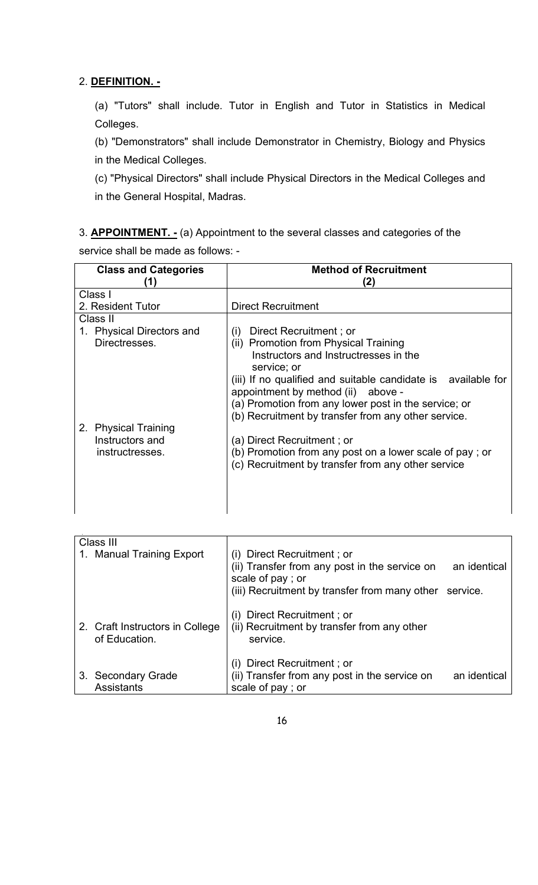## 2. **DEFINITION. -**

 $\ddot{\phantom{a}}$ 

 (a) "Tutors" shall include. Tutor in English and Tutor in Statistics in Medical Colleges.

(b) "Demonstrators" shall include Demonstrator in Chemistry, Biology and Physics in the Medical Colleges.

(c) "Physical Directors" shall include Physical Directors in the Medical Colleges and in the General Hospital, Madras.

3. **APPOINTMENT. -** (a) Appointment to the several classes and categories of the service shall be made as follows: -

| <b>Class and Categories</b>                                | <b>Method of Recruitment</b><br>(2)                                                                                                                                                                                                                                                                                                                  |
|------------------------------------------------------------|------------------------------------------------------------------------------------------------------------------------------------------------------------------------------------------------------------------------------------------------------------------------------------------------------------------------------------------------------|
| Class I                                                    |                                                                                                                                                                                                                                                                                                                                                      |
| 2. Resident Tutor                                          | <b>Direct Recruitment</b>                                                                                                                                                                                                                                                                                                                            |
| Class II                                                   |                                                                                                                                                                                                                                                                                                                                                      |
| 1. Physical Directors and<br>Directresses.                 | Direct Recruitment; or<br>(i)<br>(ii) Promotion from Physical Training<br>Instructors and Instructresses in the<br>service; or<br>(iii) If no qualified and suitable candidate is available for<br>appointment by method (ii) above -<br>(a) Promotion from any lower post in the service; or<br>(b) Recruitment by transfer from any other service. |
| 2. Physical Training<br>Instructors and<br>instructresses. | (a) Direct Recruitment; or<br>(b) Promotion from any post on a lower scale of pay; or<br>(c) Recruitment by transfer from any other service                                                                                                                                                                                                          |

| Class III                                         |                                                                                                 |              |
|---------------------------------------------------|-------------------------------------------------------------------------------------------------|--------------|
| 1. Manual Training Export                         | (i) Direct Recruitment; or                                                                      |              |
|                                                   | (ii) Transfer from any post in the service on<br>scale of pay; or                               | an identical |
|                                                   | (iii) Recruitment by transfer from many other                                                   | service.     |
| 2. Craft Instructors in College<br>of Education.  | (i) Direct Recruitment; or<br>(ii) Recruitment by transfer from any other<br>service.           |              |
| <b>Secondary Grade</b><br>3.<br><b>Assistants</b> | (i) Direct Recruitment; or<br>(ii) Transfer from any post in the service on<br>scale of pay; or | an identical |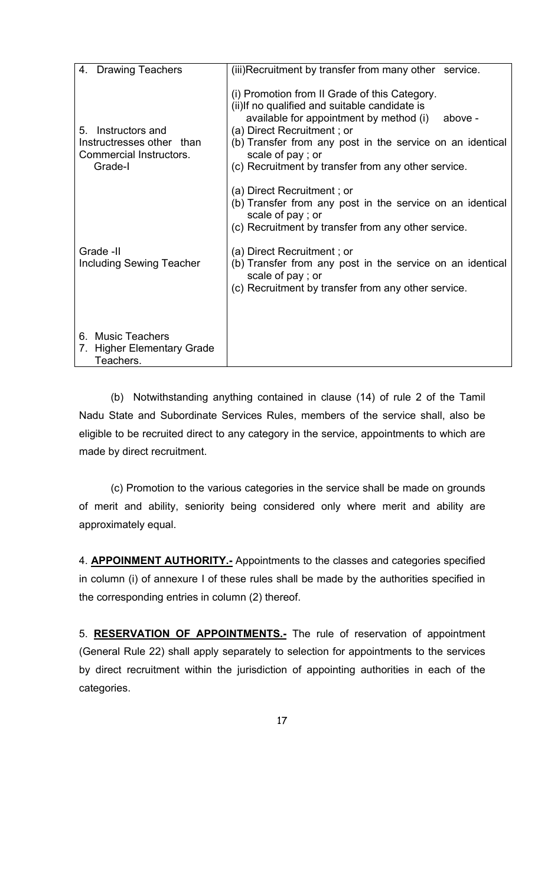| 4. Drawing Teachers                                                                      | (iii) Recruitment by transfer from many other service.                                                                                                                                                                                                                                                                      |
|------------------------------------------------------------------------------------------|-----------------------------------------------------------------------------------------------------------------------------------------------------------------------------------------------------------------------------------------------------------------------------------------------------------------------------|
| Instructors and<br>5.<br>Instructresses other than<br>Commercial Instructors.<br>Grade-I | (i) Promotion from II Grade of this Category.<br>(ii) If no qualified and suitable candidate is<br>available for appointment by method (i)<br>above -<br>(a) Direct Recruitment; or<br>(b) Transfer from any post in the service on an identical<br>scale of pay; or<br>(c) Recruitment by transfer from any other service. |
|                                                                                          | (a) Direct Recruitment; or<br>(b) Transfer from any post in the service on an identical<br>scale of pay; or<br>(c) Recruitment by transfer from any other service.                                                                                                                                                          |
| Grade -II<br><b>Including Sewing Teacher</b>                                             | (a) Direct Recruitment; or<br>(b) Transfer from any post in the service on an identical<br>scale of pay; or<br>(c) Recruitment by transfer from any other service.                                                                                                                                                          |
| 6. Music Teachers<br>7. Higher Elementary Grade<br>Teachers.                             |                                                                                                                                                                                                                                                                                                                             |

 (b) Notwithstanding anything contained in clause (14) of rule 2 of the Tamil Nadu State and Subordinate Services Rules, members of the service shall, also be eligible to be recruited direct to any category in the service, appointments to which are made by direct recruitment.

 (c) Promotion to the various categories in the service shall be made on grounds of merit and ability, seniority being considered only where merit and ability are approximately equal.

4. **APPOINMENT AUTHORITY.-** Appointments to the classes and categories specified in column (i) of annexure I of these rules shall be made by the authorities specified in the corresponding entries in column (2) thereof.

5. **RESERVATION OF APPOINTMENTS.-** The rule of reservation of appointment (General Rule 22) shall apply separately to selection for appointments to the services by direct recruitment within the jurisdiction of appointing authorities in each of the categories.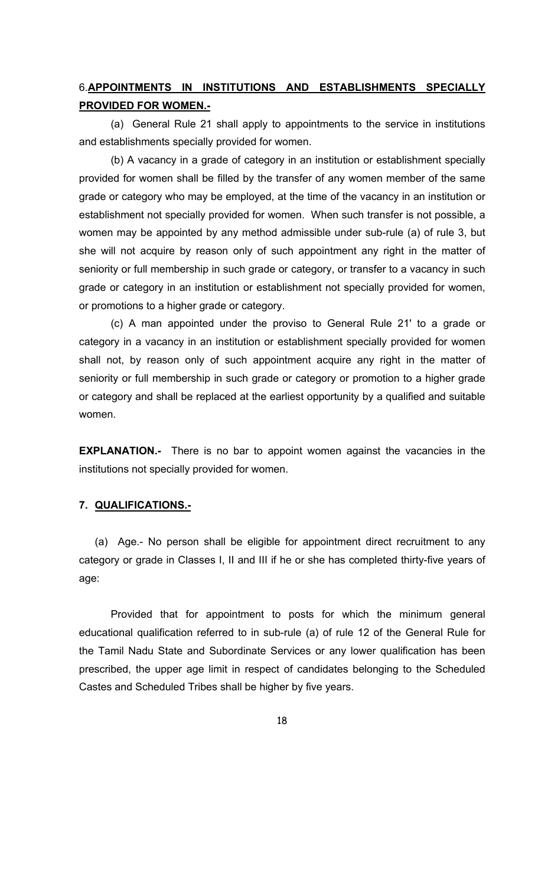## 6.**APPOINTMENTS IN INSTITUTIONS AND ESTABLISHMENTS SPECIALLY PROVIDED FOR WOMEN.-**

(a) General Rule 21 shall apply to appointments to the service in institutions and establishments specially provided for women.

(b) A vacancy in a grade of category in an institution or establishment specially provided for women shall be filled by the transfer of any women member of the same grade or category who may be employed, at the time of the vacancy in an institution or establishment not specially provided for women. When such transfer is not possible, a women may be appointed by any method admissible under sub-rule (a) of rule 3, but she will not acquire by reason only of such appointment any right in the matter of seniority or full membership in such grade or category, or transfer to a vacancy in such grade or category in an institution or establishment not specially provided for women, or promotions to a higher grade or category.

(c) A man appointed under the proviso to General Rule 21' to a grade or category in a vacancy in an institution or establishment specially provided for women shall not, by reason only of such appointment acquire any right in the matter of seniority or full membership in such grade or category or promotion to a higher grade or category and shall be replaced at the earliest opportunity by a qualified and suitable women.

**EXPLANATION.-** There is no bar to appoint women against the vacancies in the institutions not specially provided for women.

#### **7. QUALIFICATIONS.-**

(a) Age.- No person shall be eligible for appointment direct recruitment to any category or grade in Classes I, II and III if he or she has completed thirty-five years of age:

 Provided that for appointment to posts for which the minimum general educational qualification referred to in sub-rule (a) of rule 12 of the General Rule for the Tamil Nadu State and Subordinate Services or any lower qualification has been prescribed, the upper age limit in respect of candidates belonging to the Scheduled Castes and Scheduled Tribes shall be higher by five years.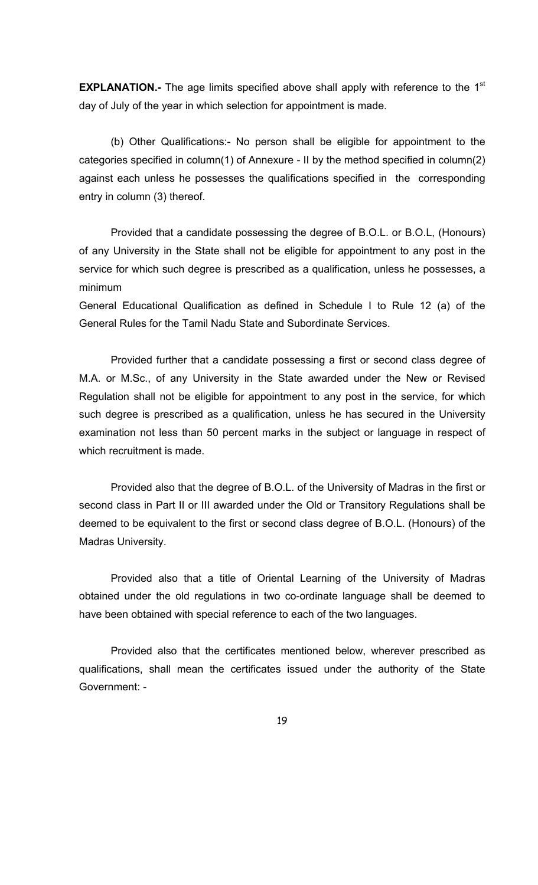**EXPLANATION.-** The age limits specified above shall apply with reference to the 1<sup>st</sup> day of July of the year in which selection for appointment is made.

 (b) Other Qualifications:- No person shall be eligible for appointment to the categories specified in column(1) of Annexure - II by the method specified in column(2) against each unless he possesses the qualifications specified in the corresponding entry in column (3) thereof.

 Provided that a candidate possessing the degree of B.O.L. or B.O.L, (Honours) of any University in the State shall not be eligible for appointment to any post in the service for which such degree is prescribed as a qualification, unless he possesses, a minimum

General Educational Qualification as defined in Schedule I to Rule 12 (a) of the General Rules for the Tamil Nadu State and Subordinate Services.

 Provided further that a candidate possessing a first or second class degree of M.A. or M.Sc., of any University in the State awarded under the New or Revised Regulation shall not be eligible for appointment to any post in the service, for which such degree is prescribed as a qualification, unless he has secured in the University examination not less than 50 percent marks in the subject or language in respect of which recruitment is made.

 Provided also that the degree of B.O.L. of the University of Madras in the first or second class in Part II or III awarded under the Old or Transitory Regulations shall be deemed to be equivalent to the first or second class degree of B.O.L. (Honours) of the Madras University.

 Provided also that a title of Oriental Learning of the University of Madras obtained under the old regulations in two co-ordinate language shall be deemed to have been obtained with special reference to each of the two languages.

 Provided also that the certificates mentioned below, wherever prescribed as qualifications, shall mean the certificates issued under the authority of the State Government: -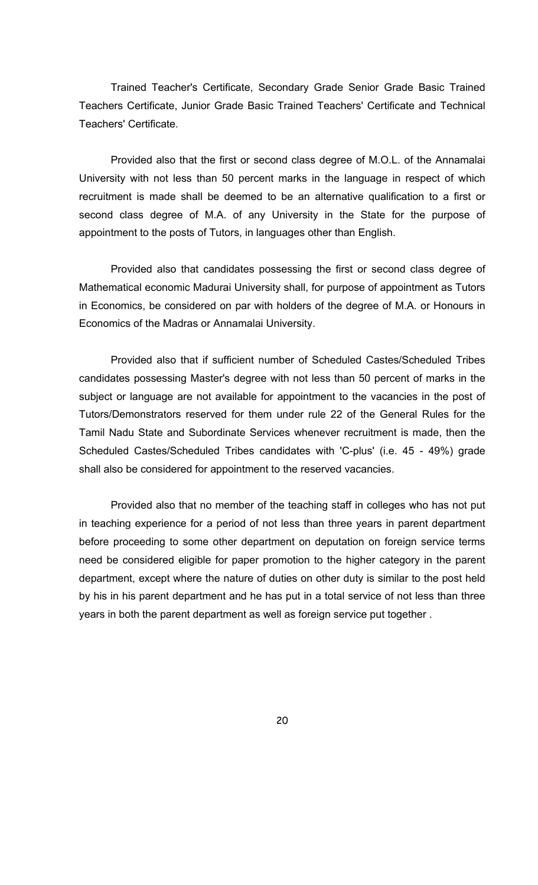Trained Teacher's Certificate, Secondary Grade Senior Grade Basic Trained Teachers Certificate, Junior Grade Basic Trained Teachers' Certificate and Technical Teachers' Certificate.

 Provided also that the first or second class degree of M.O.L. of the Annamalai University with not less than 50 percent marks in the language in respect of which recruitment is made shall be deemed to be an alternative qualification to a first or second class degree of M.A. of any University in the State for the purpose of appointment to the posts of Tutors, in languages other than English.

 Provided also that candidates possessing the first or second class degree of Mathematical economic Madurai University shall, for purpose of appointment as Tutors in Economics, be considered on par with holders of the degree of M.A. or Honours in Economics of the Madras or Annamalai University.

 Provided also that if sufficient number of Scheduled Castes/Scheduled Tribes candidates possessing Master's degree with not less than 50 percent of marks in the subject or language are not available for appointment to the vacancies in the post of Tutors/Demonstrators reserved for them under rule 22 of the General Rules for the Tamil Nadu State and Subordinate Services whenever recruitment is made, then the Scheduled Castes/Scheduled Tribes candidates with 'C-plus' (i.e. 45 - 49%) grade shall also be considered for appointment to the reserved vacancies.

 Provided also that no member of the teaching staff in colleges who has not put in teaching experience for a period of not less than three years in parent department before proceeding to some other department on deputation on foreign service terms need be considered eligible for paper promotion to the higher category in the parent department, except where the nature of duties on other duty is similar to the post held by his in his parent department and he has put in a total service of not less than three years in both the parent department as well as foreign service put together .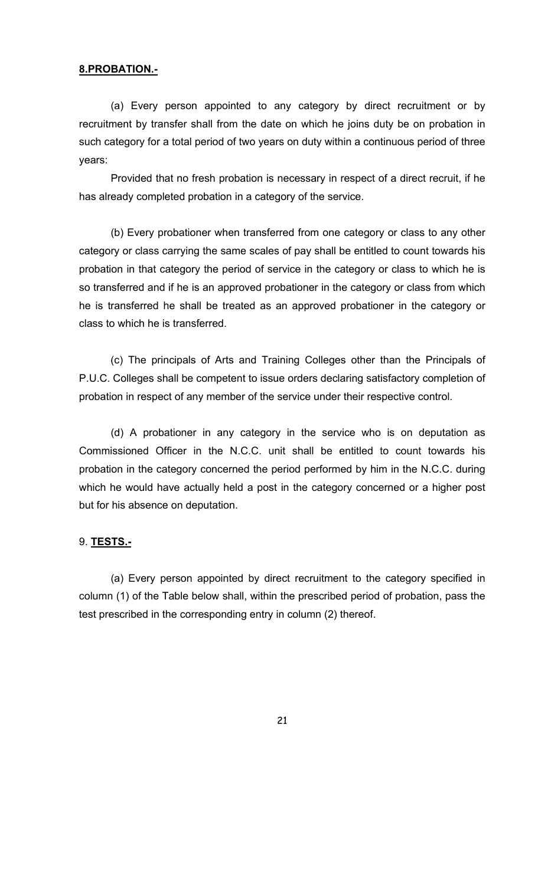#### **8.PROBATION.-**

(a) Every person appointed to any category by direct recruitment or by recruitment by transfer shall from the date on which he joins duty be on probation in such category for a total period of two years on duty within a continuous period of three years:

 Provided that no fresh probation is necessary in respect of a direct recruit, if he has already completed probation in a category of the service.

(b) Every probationer when transferred from one category or class to any other category or class carrying the same scales of pay shall be entitled to count towards his probation in that category the period of service in the category or class to which he is so transferred and if he is an approved probationer in the category or class from which he is transferred he shall be treated as an approved probationer in the category or class to which he is transferred.

(c) The principals of Arts and Training Colleges other than the Principals of P.U.C. Colleges shall be competent to issue orders declaring satisfactory completion of probation in respect of any member of the service under their respective control.

 (d) A probationer in any category in the service who is on deputation as Commissioned Officer in the N.C.C. unit shall be entitled to count towards his probation in the category concerned the period performed by him in the N.C.C. during which he would have actually held a post in the category concerned or a higher post but for his absence on deputation.

#### 9. **TESTS.-**

 (a) Every person appointed by direct recruitment to the category specified in column (1) of the Table below shall, within the prescribed period of probation, pass the test prescribed in the corresponding entry in column (2) thereof.

21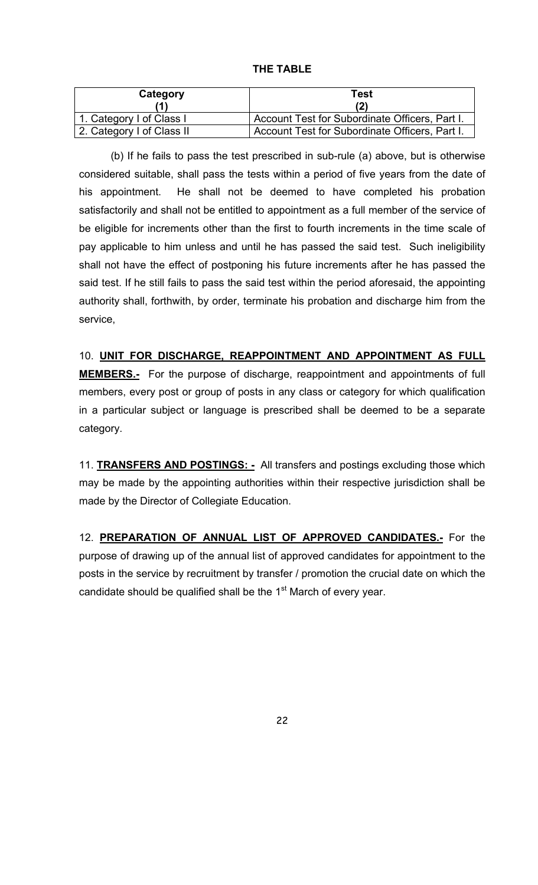| Category                  | Test                                           |
|---------------------------|------------------------------------------------|
| 1. Category I of Class I  | Account Test for Subordinate Officers, Part I. |
| 2. Category I of Class II | Account Test for Subordinate Officers, Part I. |

(b) If he fails to pass the test prescribed in sub-rule (a) above, but is otherwise considered suitable, shall pass the tests within a period of five years from the date of his appointment. He shall not be deemed to have completed his probation satisfactorily and shall not be entitled to appointment as a full member of the service of be eligible for increments other than the first to fourth increments in the time scale of pay applicable to him unless and until he has passed the said test. Such ineligibility shall not have the effect of postponing his future increments after he has passed the said test. If he still fails to pass the said test within the period aforesaid, the appointing authority shall, forthwith, by order, terminate his probation and discharge him from the service,

10. **UNIT FOR DISCHARGE, REAPPOINTMENT AND APPOINTMENT AS FULL MEMBERS.-** For the purpose of discharge, reappointment and appointments of full members, every post or group of posts in any class or category for which qualification in a particular subject or language is prescribed shall be deemed to be a separate category.

11. **TRANSFERS AND POSTINGS: -** All transfers and postings excluding those which may be made by the appointing authorities within their respective jurisdiction shall be made by the Director of Collegiate Education.

12. **PREPARATION OF ANNUAL LIST OF APPROVED CANDIDATES.-** For the purpose of drawing up of the annual list of approved candidates for appointment to the posts in the service by recruitment by transfer / promotion the crucial date on which the candidate should be qualified shall be the  $1<sup>st</sup>$  March of every year.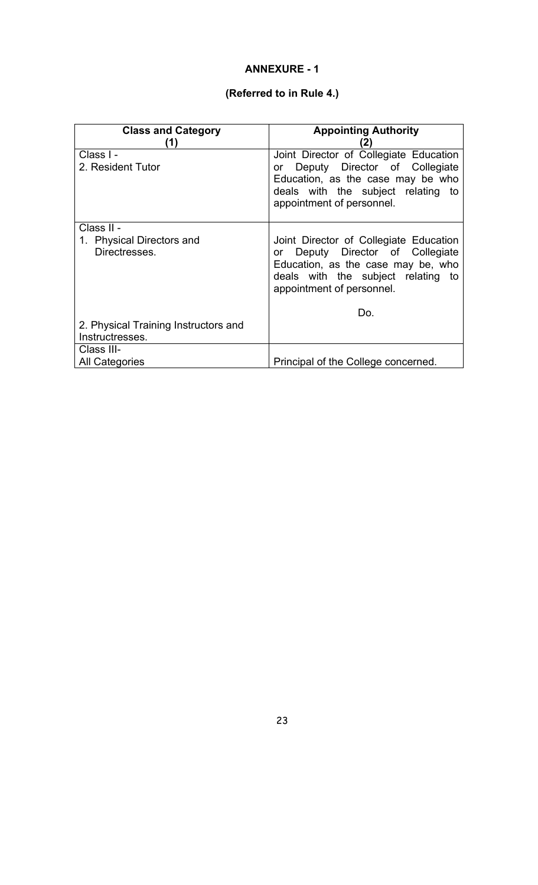### **ANNEXURE - 1**

## **(Referred to in Rule 4.)**

| <b>Class and Category</b><br>(1)           | <b>Appointing Authority</b><br>(2)                                                                                                                                                  |
|--------------------------------------------|-------------------------------------------------------------------------------------------------------------------------------------------------------------------------------------|
| Class I -<br>2. Resident Tutor             | Joint Director of Collegiate Education<br>Deputy Director of Collegiate<br>or<br>Education, as the case may be who                                                                  |
|                                            | deals with the subject relating to<br>appointment of personnel.                                                                                                                     |
| Class II -                                 |                                                                                                                                                                                     |
| 1. Physical Directors and<br>Directresses. | Joint Director of Collegiate Education<br>or Deputy Director of Collegiate<br>Education, as the case may be, who<br>deals with the subject relating to<br>appointment of personnel. |
|                                            | Do.                                                                                                                                                                                 |
| 2. Physical Training Instructors and       |                                                                                                                                                                                     |
| Instructresses.                            |                                                                                                                                                                                     |
| Class III-                                 |                                                                                                                                                                                     |
| <b>All Categories</b>                      | Principal of the College concerned.                                                                                                                                                 |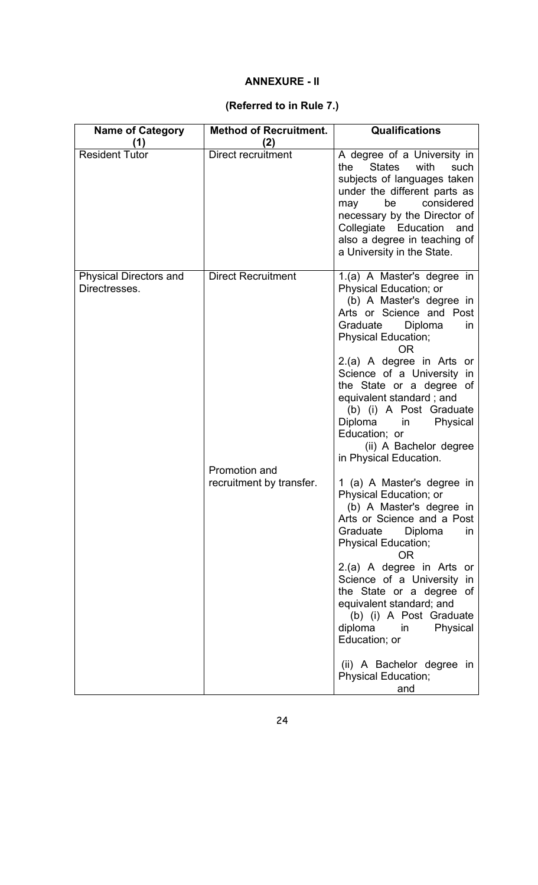### **ANNEXURE - II**

# **(Referred to in Rule 7.)**

| <b>Name of Category</b>                        | <b>Method of Recruitment.</b>             | <b>Qualifications</b>                                                                                                                                                                                                                                                                                                                                                                                                                          |
|------------------------------------------------|-------------------------------------------|------------------------------------------------------------------------------------------------------------------------------------------------------------------------------------------------------------------------------------------------------------------------------------------------------------------------------------------------------------------------------------------------------------------------------------------------|
| 1)<br><b>Resident Tutor</b>                    | (2)<br>Direct recruitment                 | A degree of a University in<br><b>States</b><br>with<br>the<br>such<br>subjects of languages taken<br>under the different parts as<br>be<br>considered<br>may<br>necessary by the Director of<br>Collegiate Education<br>and<br>also a degree in teaching of<br>a University in the State.                                                                                                                                                     |
| <b>Physical Directors and</b><br>Directresses. | <b>Direct Recruitment</b>                 | 1.(a) A Master's degree in<br>Physical Education; or<br>(b) A Master's degree in<br>Arts or Science and Post<br>Diploma<br>Graduate<br>in.<br>Physical Education;<br>ΟR<br>2.(a) A degree in Arts or<br>Science of a University in<br>the State or a degree of<br>equivalent standard; and<br>(b) (i) A Post Graduate<br>Diploma<br>Physical<br>in<br>Education; or<br>(ii) A Bachelor degree<br>in Physical Education.                        |
|                                                | Promotion and<br>recruitment by transfer. | 1 (a) A Master's degree in<br>Physical Education; or<br>(b) A Master's degree in<br>Arts or Science and a Post<br>Graduate<br>Diploma<br>$\mathsf{in}$<br>Physical Education;<br>0R<br>2.(a) A degree in Arts or<br>Science of a University in<br>the State or a degree of<br>equivalent standard; and<br>(b) (i) A Post Graduate<br>diploma in<br>Physical<br>Education; or<br>(ii) A Bachelor degree in<br><b>Physical Education;</b><br>and |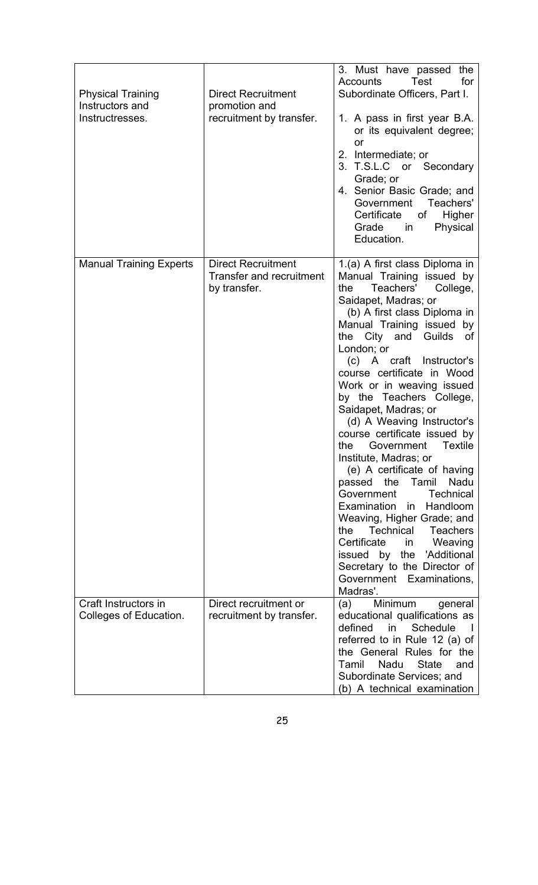| <b>Physical Training</b><br>Instructors and<br>Instructresses. | <b>Direct Recruitment</b><br>promotion and<br>recruitment by transfer.       | 3. Must have passed the<br>for<br>Accounts<br>Test<br>Subordinate Officers, Part I.<br>1. A pass in first year B.A.<br>or its equivalent degree;<br>or<br>2. Intermediate; or<br>3. T.S.L.C or Secondary<br>Grade; or<br>4. Senior Basic Grade; and<br>Government Teachers'<br>Certificate<br>Higher<br>of<br>Physical<br>Grade<br>in in<br>Education.                                                                                                                                                                                                                                                                                                                                                                                                                                                                                                |
|----------------------------------------------------------------|------------------------------------------------------------------------------|-------------------------------------------------------------------------------------------------------------------------------------------------------------------------------------------------------------------------------------------------------------------------------------------------------------------------------------------------------------------------------------------------------------------------------------------------------------------------------------------------------------------------------------------------------------------------------------------------------------------------------------------------------------------------------------------------------------------------------------------------------------------------------------------------------------------------------------------------------|
| <b>Manual Training Experts</b>                                 | <b>Direct Recruitment</b><br><b>Transfer and recruitment</b><br>by transfer. | 1.(a) A first class Diploma in<br>Manual Training issued by<br>Teachers'<br>College,<br>the<br>Saidapet, Madras; or<br>(b) A first class Diploma in<br>Manual Training issued by<br>City and Guilds<br>the<br>of<br>London; or<br>(c) A craft Instructor's<br>course certificate in Wood<br>Work or in weaving issued<br>by the Teachers College,<br>Saidapet, Madras; or<br>(d) A Weaving Instructor's<br>course certificate issued by<br>Textile<br>Government<br>the<br>Institute, Madras; or<br>(e) A certificate of having<br>passed<br>Nadu<br>the<br>Tamil<br>Government<br><b>Technical</b><br>Examination<br>Handloom<br>in.<br>Weaving, Higher Grade; and<br>the<br>Technical<br><b>Teachers</b><br>Certificate<br>Weaving<br>in<br>issued by<br>the<br>'Additional<br>Secretary to the Director of<br>Government Examinations,<br>Madras'. |
| Craft Instructors in<br>Colleges of Education.                 | Direct recruitment or<br>recruitment by transfer.                            | (a)<br>Minimum<br>general<br>educational qualifications as<br>defined<br>Schedule<br>in<br>referred to in Rule 12 (a) of<br>the General Rules for the<br>Tamil<br><b>State</b><br>Nadu<br>and<br>Subordinate Services; and<br>(b) A technical examination                                                                                                                                                                                                                                                                                                                                                                                                                                                                                                                                                                                             |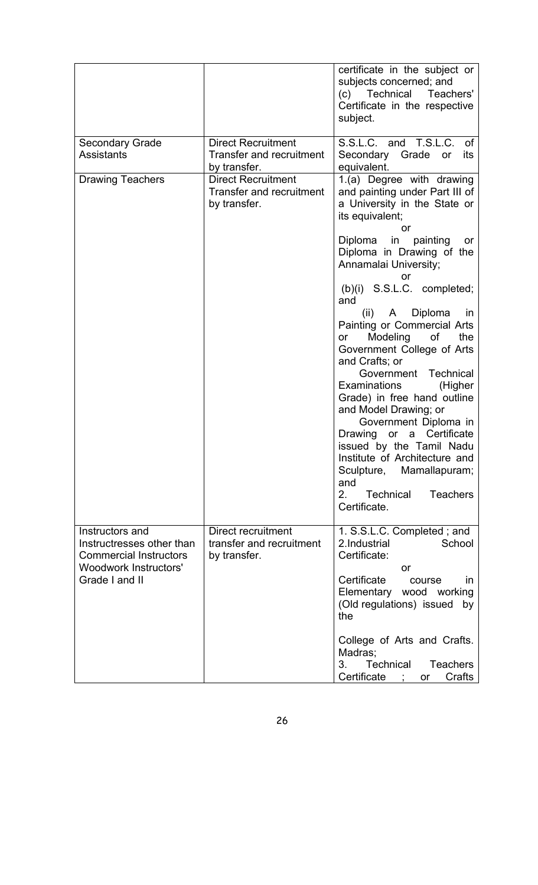|                                                                                                                                 |                                                                              | certificate in the subject or<br>subjects concerned; and<br>Technical<br>(c)<br>Teachers'<br>Certificate in the respective<br>subject.                                                                                                                                                                                                                                                                                                                                                                     |
|---------------------------------------------------------------------------------------------------------------------------------|------------------------------------------------------------------------------|------------------------------------------------------------------------------------------------------------------------------------------------------------------------------------------------------------------------------------------------------------------------------------------------------------------------------------------------------------------------------------------------------------------------------------------------------------------------------------------------------------|
| <b>Secondary Grade</b><br><b>Assistants</b>                                                                                     | <b>Direct Recruitment</b><br><b>Transfer and recruitment</b><br>by transfer. | S.S.L.C. and T.S.L.C. of<br>Secondary Grade or<br>its<br>equivalent.                                                                                                                                                                                                                                                                                                                                                                                                                                       |
| <b>Drawing Teachers</b>                                                                                                         | <b>Direct Recruitment</b><br>Transfer and recruitment<br>by transfer.        | 1.(a) Degree with drawing<br>and painting under Part III of<br>a University in the State or<br>its equivalent;<br>or                                                                                                                                                                                                                                                                                                                                                                                       |
|                                                                                                                                 |                                                                              | in painting<br>Diploma<br>or<br>Diploma in Drawing of the<br>Annamalai University;<br>or                                                                                                                                                                                                                                                                                                                                                                                                                   |
|                                                                                                                                 |                                                                              | (b)(i) S.S.L.C. completed;<br>and<br>(ii) A Diploma<br>in in<br>Painting or Commercial Arts<br>Modeling<br>of<br>the<br>or<br>Government College of Arts<br>and Crafts; or<br>Government Technical<br>Examinations<br>(Higher<br>Grade) in free hand outline<br>and Model Drawing; or<br>Government Diploma in<br>Drawing or a Certificate<br>issued by the Tamil Nadu<br>Institute of Architecture and<br>Mamallapuram;<br>Sculpture,<br>and<br>2.<br><b>Teachers</b><br><b>Technical</b><br>Certificate. |
| Instructors and<br>Instructresses other than<br><b>Commercial Instructors</b><br><b>Woodwork Instructors'</b><br>Grade I and II | Direct recruitment<br>transfer and recruitment<br>by transfer.               | 1. S.S.L.C. Completed; and<br>2. Industrial<br>School<br>Certificate:<br>or<br>Certificate<br>course<br>in.<br>Elementary wood working<br>(Old regulations) issued<br>by<br>the                                                                                                                                                                                                                                                                                                                            |
|                                                                                                                                 |                                                                              | College of Arts and Crafts.<br>Madras;<br><b>Technical</b><br><b>Teachers</b><br>3.<br>Certificate ;<br>Crafts<br>or                                                                                                                                                                                                                                                                                                                                                                                       |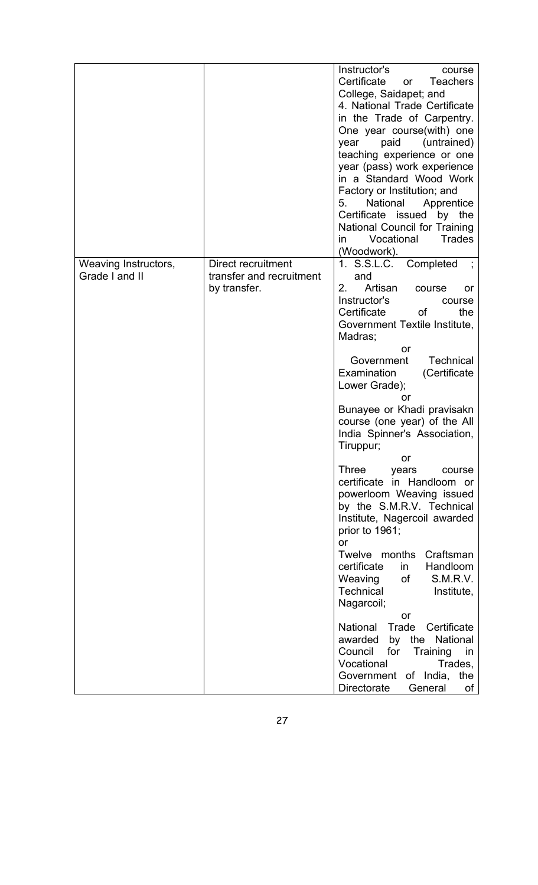|                                        |                                                                | Instructor's<br>course<br>Certificate<br><b>Teachers</b><br>or<br>College, Saidapet; and<br>4. National Trade Certificate<br>in the Trade of Carpentry.<br>One year course (with) one<br>paid<br>(untrained)<br>year<br>teaching experience or one<br>year (pass) work experience<br>in a Standard Wood Work<br>Factory or Institution; and<br>5.<br>National<br>Apprentice<br>Certificate issued<br>by the<br>National Council for Training<br>Vocational<br>Trades<br>in.<br>(Woodwork).                                                                                                                                                                                                                                                                                                                                                                                                                               |
|----------------------------------------|----------------------------------------------------------------|--------------------------------------------------------------------------------------------------------------------------------------------------------------------------------------------------------------------------------------------------------------------------------------------------------------------------------------------------------------------------------------------------------------------------------------------------------------------------------------------------------------------------------------------------------------------------------------------------------------------------------------------------------------------------------------------------------------------------------------------------------------------------------------------------------------------------------------------------------------------------------------------------------------------------|
| Weaving Instructors,<br>Grade I and II | Direct recruitment<br>transfer and recruitment<br>by transfer. | 1. S.S.L.C.<br>Completed<br>and<br>Artisan<br>2 <sub>1</sub><br>course<br>or<br>Instructor's<br>course<br>Certificate<br>0f<br>the<br>Government Textile Institute,<br>Madras;<br>or<br><b>Technical</b><br>Government<br>Examination<br>(Certificate<br>Lower Grade);<br>or<br>Bunayee or Khadi pravisakn<br>course (one year) of the All<br>India Spinner's Association,<br>Tiruppur;<br>or<br><b>Three</b><br>years<br>course<br>certificate in Handloom or<br>powerloom Weaving issued<br>by the S.M.R.V. Technical<br>Institute, Nagercoil awarded<br>prior to 1961;<br>or<br>Twelve months<br>Craftsman<br>certificate<br>Handloom<br>in<br>S.M.R.V.<br>Weaving<br>of<br>Technical<br>Institute,<br>Nagarcoil;<br>or<br>Trade<br>National<br>Certificate<br>awarded<br>by the National<br>Council<br>for<br>Training<br>in<br>Vocational<br>Trades,<br>Government of India,<br>the<br>Directorate<br>General<br>0f |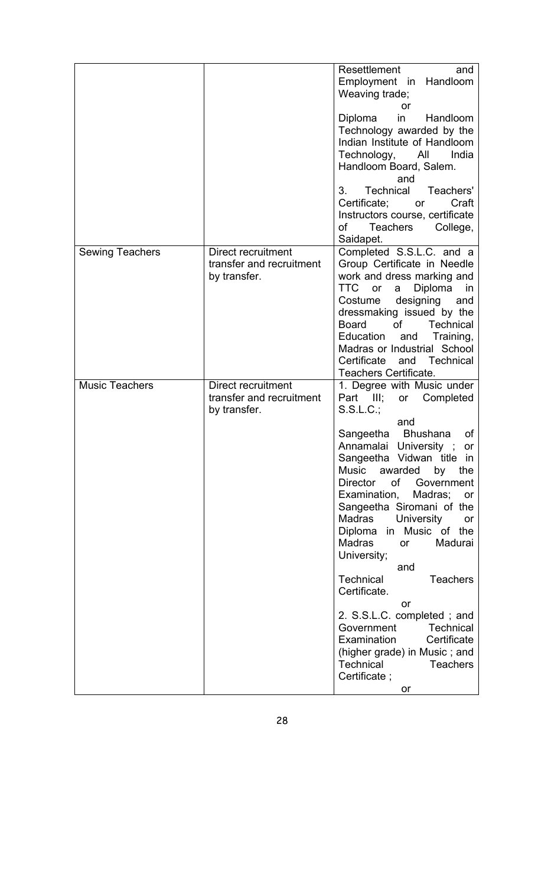|                        |                                                | Resettlement<br>and<br>Employment in Handloom<br>Weaving trade;                |
|------------------------|------------------------------------------------|--------------------------------------------------------------------------------|
|                        |                                                | or                                                                             |
|                        |                                                | Diploma<br>in<br>Handloom<br>Technology awarded by the                         |
|                        |                                                | Indian Institute of Handloom                                                   |
|                        |                                                | Technology, All<br>India<br>Handloom Board, Salem.                             |
|                        |                                                | and<br>Technical<br>3.<br>Teachers'                                            |
|                        |                                                | Certificate;<br>Craft<br>or                                                    |
|                        |                                                | Instructors course, certificate<br>Teachers<br>of<br>College,                  |
|                        |                                                | Saidapet.                                                                      |
| <b>Sewing Teachers</b> | Direct recruitment<br>transfer and recruitment | Completed S.S.L.C. and a<br>Group Certificate in Needle                        |
|                        | by transfer.                                   | work and dress marking and                                                     |
|                        |                                                | <b>TTC</b><br>or<br>Diploma<br>a<br>in<br>designing<br>Costume<br>and          |
|                        |                                                | dressmaking issued by the                                                      |
|                        |                                                | <b>of</b><br><b>Board</b><br><b>Technical</b><br>Education<br>Training,<br>and |
|                        |                                                | Madras or Industrial School<br>Certificate and Technical                       |
|                        |                                                | Teachers Certificate.                                                          |
| <b>Music Teachers</b>  | Direct recruitment                             | 1. Degree with Music under                                                     |
|                        | transfer and recruitment<br>by transfer.       | Part III;<br>Completed<br>or<br>$S.S.L.C.$ ;                                   |
|                        |                                                |                                                                                |
|                        |                                                | and                                                                            |
|                        |                                                | <b>Bhushana</b><br>of                                                          |
|                        |                                                | Sangeetha<br>Annamalai University ;<br>or                                      |
|                        |                                                | Sangeetha Vidwan title in<br>Music<br>awarded<br>by<br>the                     |
|                        |                                                | <b>Director</b><br>οf<br>Government                                            |
|                        |                                                | Examination,<br>Madras;<br>or<br>Sangeetha Siromani of the                     |
|                        |                                                | <b>Madras</b><br><b>University</b><br>or                                       |
|                        |                                                | Diploma in Music of the<br><b>Madras</b><br>Madurai<br>or                      |
|                        |                                                | University;<br>and                                                             |
|                        |                                                | <b>Technical</b><br><b>Teachers</b><br>Certificate.                            |
|                        |                                                | or<br>2. S.S.L.C. completed; and                                               |
|                        |                                                | Government<br><b>Technical</b><br>Examination<br>Certificate                   |
|                        |                                                | (higher grade) in Music; and<br>Technical<br><b>Teachers</b>                   |
|                        |                                                | Certificate;<br>or                                                             |